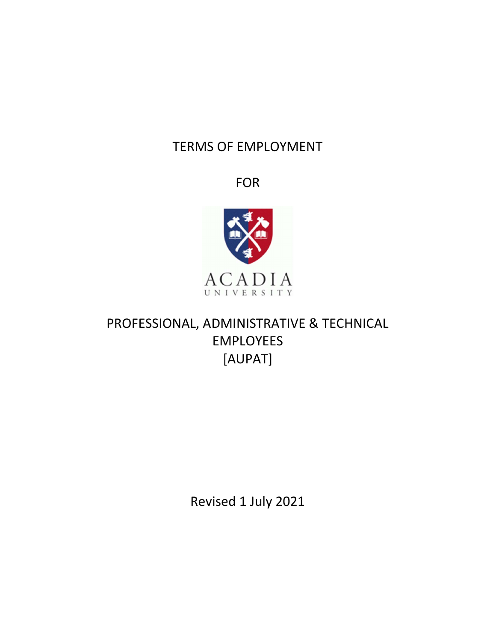# TERMS OF EMPLOYMENT

FOR



# PROFESSIONAL, ADMINISTRATIVE & TECHNICAL EMPLOYEES [AUPAT]

Revised 1 July 2021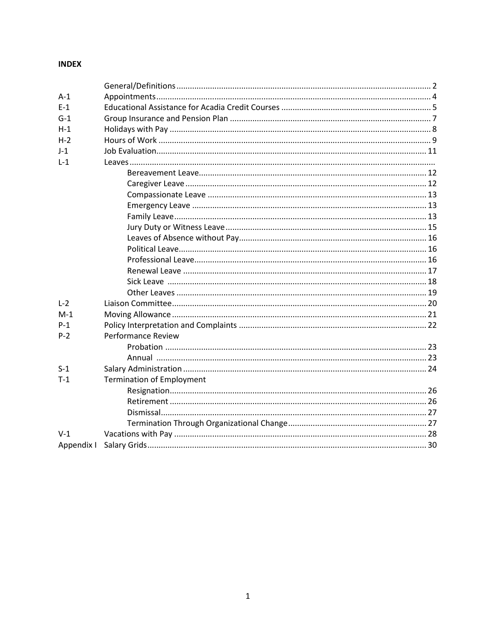### **INDEX**

| $A-1$      |                                  |  |
|------------|----------------------------------|--|
| $E-1$      |                                  |  |
| $G-1$      |                                  |  |
| $H-1$      |                                  |  |
| $H-2$      |                                  |  |
| $J-1$      |                                  |  |
| $L-1$      |                                  |  |
|            |                                  |  |
|            |                                  |  |
|            |                                  |  |
|            |                                  |  |
|            |                                  |  |
|            |                                  |  |
|            |                                  |  |
|            |                                  |  |
|            |                                  |  |
|            |                                  |  |
|            |                                  |  |
|            |                                  |  |
| $L-2$      |                                  |  |
| $M-1$      |                                  |  |
| $P-1$      |                                  |  |
| $P-2$      | <b>Performance Review</b>        |  |
|            |                                  |  |
|            |                                  |  |
| $S-1$      |                                  |  |
| $T-1$      | <b>Termination of Employment</b> |  |
|            |                                  |  |
|            |                                  |  |
|            |                                  |  |
|            |                                  |  |
| $V-1$      |                                  |  |
| Appendix I |                                  |  |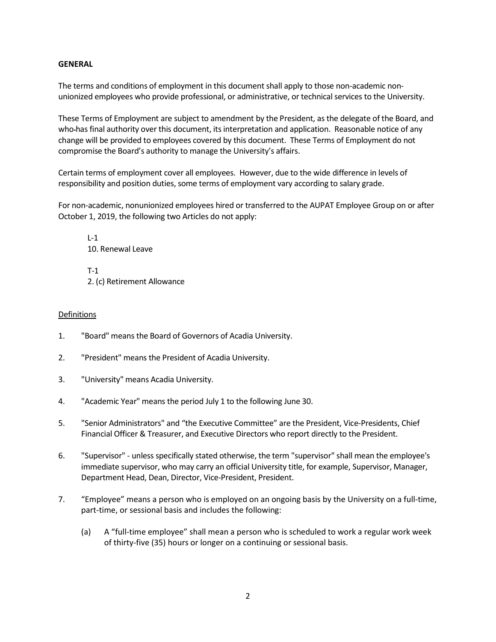#### **GENERAL**

The terms and conditions of employment in this document shall apply to those non-academic nonunionized employees who provide professional, or administrative, or technical services to the University.

These Terms of Employment are subject to amendment by the President, as the delegate of the Board, and who-has final authority over this document, its interpretation and application. Reasonable notice of any change will be provided to employees covered by this document. These Terms of Employment do not compromise the Board's authority to manage the University's affairs.

Certain terms of employment cover all employees. However, due to the wide difference in levels of responsibility and position duties, some terms of employment vary according to salary grade.

For non-academic, nonunionized employees hired or transferred to the AUPAT Employee Group on or after October 1, 2019, the following two Articles do not apply:

 L-1 10. Renewal Leave T-1 2. (c) Retirement Allowance

# Definitions

- 1. "Board" means the Board of Governors of Acadia University.
- 2. "President" means the President of Acadia University.
- 3. "University" means Acadia University.
- 4. "Academic Year" means the period July 1 to the following June 30.
- 5. "Senior Administrators" and "the Executive Committee" are the President, Vice-Presidents, Chief Financial Officer & Treasurer, and Executive Directors who report directly to the President.
- 6. "Supervisor" unless specifically stated otherwise, the term "supervisor" shall mean the employee's immediate supervisor, who may carry an official University title, for example, Supervisor, Manager, Department Head, Dean, Director, Vice-President, President.
- 7. "Employee" means a person who is employed on an ongoing basis by the University on a full-time, part-time, or sessional basis and includes the following:
	- (a) A "full-time employee" shall mean a person who is scheduled to work a regular work week of thirty-five (35) hours or longer on a continuing or sessional basis.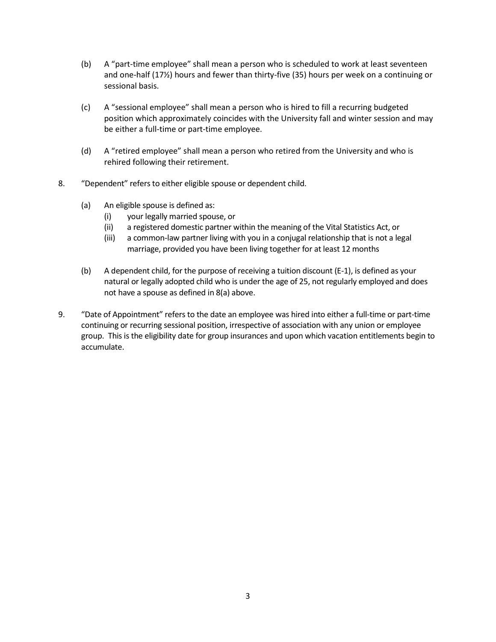- (b) A "part-time employee" shall mean a person who is scheduled to work at least seventeen and one-half (17½) hours and fewer than thirty-five (35) hours per week on a continuing or sessional basis.
- (c) A "sessional employee" shall mean a person who is hired to fill a recurring budgeted position which approximately coincides with the University fall and winter session and may be either a full-time or part-time employee.
- (d) A "retired employee" shall mean a person who retired from the University and who is rehired following their retirement.
- 8. "Dependent" refers to either eligible spouse or dependent child.
	- (a) An eligible spouse is defined as:
		- (i) your legally married spouse, or
		- (ii) a registered domestic partner within the meaning of the Vital Statistics Act, or
		- (iii) a common-law partner living with you in a conjugal relationship that is not a legal marriage, provided you have been living together for at least 12 months
	- (b) A dependent child, for the purpose of receiving a tuition discount (E-1), is defined as your natural or legally adopted child who is under the age of 25, not regularly employed and does not have a spouse as defined in 8(a) above.
- 9. "Date of Appointment" refers to the date an employee was hired into either a full-time or part-time continuing or recurring sessional position, irrespective of association with any union or employee group. This is the eligibility date for group insurances and upon which vacation entitlements begin to accumulate.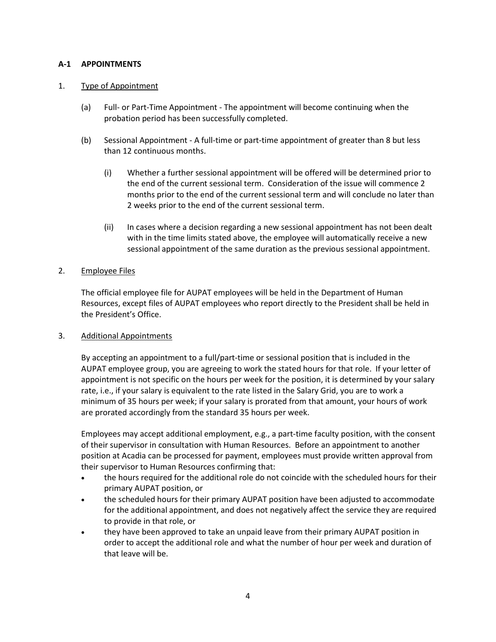#### A-1 APPOINTMENTS

#### 1. Type of Appointment

- (a) Full- or Part-Time Appointment The appointment will become continuing when the probation period has been successfully completed.
- (b) Sessional Appointment A full-time or part-time appointment of greater than 8 but less than 12 continuous months.
	- (i) Whether a further sessional appointment will be offered will be determined prior to the end of the current sessional term. Consideration of the issue will commence 2 months prior to the end of the current sessional term and will conclude no later than 2 weeks prior to the end of the current sessional term.
	- (ii) In cases where a decision regarding a new sessional appointment has not been dealt with in the time limits stated above, the employee will automatically receive a new sessional appointment of the same duration as the previous sessional appointment.

#### 2. Employee Files

 The official employee file for AUPAT employees will be held in the Department of Human Resources, except files of AUPAT employees who report directly to the President shall be held in the President's Office.

#### 3. Additional Appointments

 By accepting an appointment to a full/part-time or sessional position that is included in the AUPAT employee group, you are agreeing to work the stated hours for that role. If your letter of appointment is not specific on the hours per week for the position, it is determined by your salary rate, i.e., if your salary is equivalent to the rate listed in the Salary Grid, you are to work a minimum of 35 hours per week; if your salary is prorated from that amount, your hours of work are prorated accordingly from the standard 35 hours per week.

 Employees may accept additional employment, e.g., a part-time faculty position, with the consent of their supervisor in consultation with Human Resources. Before an appointment to another position at Acadia can be processed for payment, employees must provide written approval from their supervisor to Human Resources confirming that:

- the hours required for the additional role do not coincide with the scheduled hours for their primary AUPAT position, or
- the scheduled hours for their primary AUPAT position have been adjusted to accommodate for the additional appointment, and does not negatively affect the service they are required to provide in that role, or
- they have been approved to take an unpaid leave from their primary AUPAT position in order to accept the additional role and what the number of hour per week and duration of that leave will be.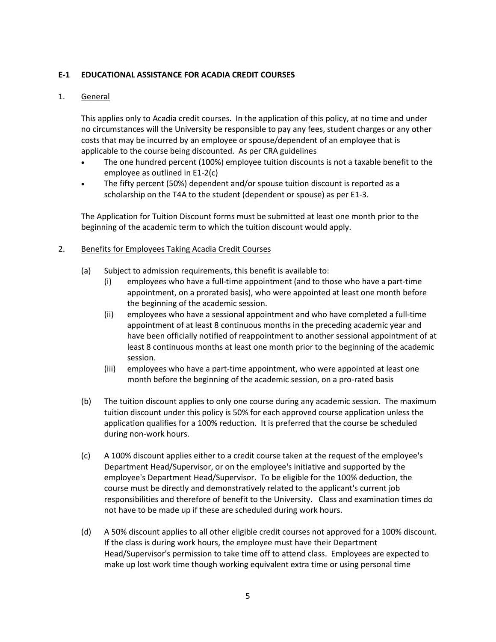#### E-1 EDUCATIONAL ASSISTANCE FOR ACADIA CREDIT COURSES

#### 1. General

This applies only to Acadia credit courses. In the application of this policy, at no time and under no circumstances will the University be responsible to pay any fees, student charges or any other costs that may be incurred by an employee or spouse/dependent of an employee that is applicable to the course being discounted. As per CRA guidelines

- The one hundred percent (100%) employee tuition discounts is not a taxable benefit to the employee as outlined in E1-2(c)
- The fifty percent (50%) dependent and/or spouse tuition discount is reported as a scholarship on the T4A to the student (dependent or spouse) as per E1-3.

The Application for Tuition Discount forms must be submitted at least one month prior to the beginning of the academic term to which the tuition discount would apply.

- 2. Benefits for Employees Taking Acadia Credit Courses
	- (a) Subject to admission requirements, this benefit is available to:
		- (i) employees who have a full-time appointment (and to those who have a part-time appointment, on a prorated basis), who were appointed at least one month before the beginning of the academic session.
		- (ii) employees who have a sessional appointment and who have completed a full-time appointment of at least 8 continuous months in the preceding academic year and have been officially notified of reappointment to another sessional appointment of at least 8 continuous months at least one month prior to the beginning of the academic session.
		- (iii) employees who have a part-time appointment, who were appointed at least one month before the beginning of the academic session, on a pro-rated basis
	- (b) The tuition discount applies to only one course during any academic session. The maximum tuition discount under this policy is 50% for each approved course application unless the application qualifies for a 100% reduction. It is preferred that the course be scheduled during non-work hours.
	- (c) A 100% discount applies either to a credit course taken at the request of the employee's Department Head/Supervisor, or on the employee's initiative and supported by the employee's Department Head/Supervisor. To be eligible for the 100% deduction, the course must be directly and demonstratively related to the applicant's current job responsibilities and therefore of benefit to the University. Class and examination times do not have to be made up if these are scheduled during work hours.
	- (d) A 50% discount applies to all other eligible credit courses not approved for a 100% discount. If the class is during work hours, the employee must have their Department Head/Supervisor's permission to take time off to attend class. Employees are expected to make up lost work time though working equivalent extra time or using personal time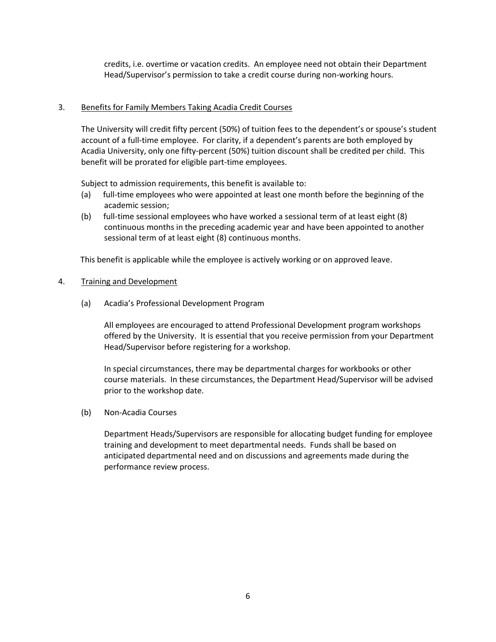credits, i.e. overtime or vacation credits. An employee need not obtain their Department Head/Supervisor's permission to take a credit course during non-working hours.

#### 3. Benefits for Family Members Taking Acadia Credit Courses

The University will credit fifty percent (50%) of tuition fees to the dependent's or spouse's student account of a full-time employee. For clarity, if a dependent's parents are both employed by Acadia University, only one fifty-percent (50%) tuition discount shall be credited per child. This benefit will be prorated for eligible part-time employees.

Subject to admission requirements, this benefit is available to:

- (a) full-time employees who were appointed at least one month before the beginning of the academic session;
- (b) full-time sessional employees who have worked a sessional term of at least eight (8) continuous months in the preceding academic year and have been appointed to another sessional term of at least eight (8) continuous months.

This benefit is applicable while the employee is actively working or on approved leave.

#### 4. Training and Development

(a) Acadia's Professional Development Program

All employees are encouraged to attend Professional Development program workshops offered by the University. It is essential that you receive permission from your Department Head/Supervisor before registering for a workshop.

In special circumstances, there may be departmental charges for workbooks or other course materials. In these circumstances, the Department Head/Supervisor will be advised prior to the workshop date.

(b) Non-Acadia Courses

Department Heads/Supervisors are responsible for allocating budget funding for employee training and development to meet departmental needs. Funds shall be based on anticipated departmental need and on discussions and agreements made during the performance review process.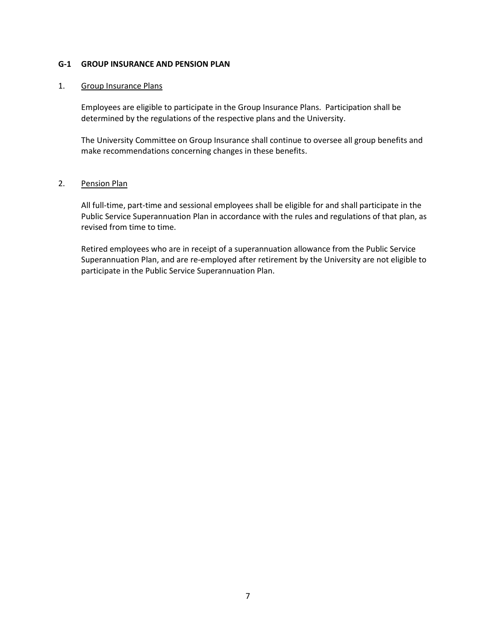#### G-1 GROUP INSURANCE AND PENSION PLAN

#### 1. Group Insurance Plans

Employees are eligible to participate in the Group Insurance Plans. Participation shall be determined by the regulations of the respective plans and the University.

The University Committee on Group Insurance shall continue to oversee all group benefits and make recommendations concerning changes in these benefits.

#### 2. Pension Plan

All full-time, part-time and sessional employees shall be eligible for and shall participate in the Public Service Superannuation Plan in accordance with the rules and regulations of that plan, as revised from time to time.

Retired employees who are in receipt of a superannuation allowance from the Public Service Superannuation Plan, and are re-employed after retirement by the University are not eligible to participate in the Public Service Superannuation Plan.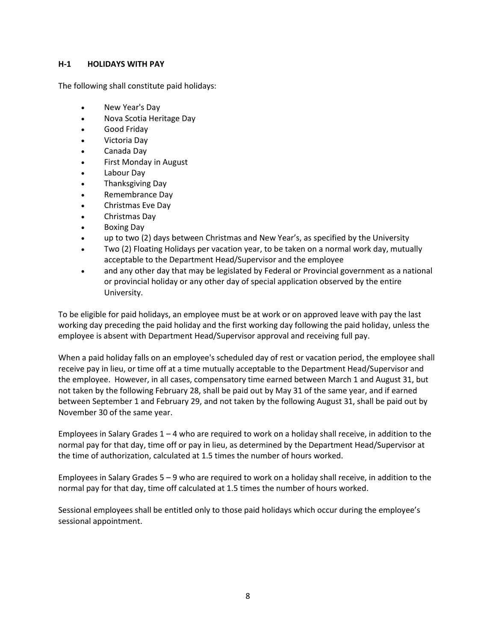#### H-1 HOLIDAYS WITH PAY

The following shall constitute paid holidays:

- New Year's Day
- Nova Scotia Heritage Day
- Good Friday
- Victoria Day
- Canada Day
- First Monday in August
- Labour Day
- Thanksgiving Day
- Remembrance Day
- Christmas Eve Day
- Christmas Day
- Boxing Day
- up to two (2) days between Christmas and New Year's, as specified by the University
- Two (2) Floating Holidays per vacation year, to be taken on a normal work day, mutually acceptable to the Department Head/Supervisor and the employee
- and any other day that may be legislated by Federal or Provincial government as a national or provincial holiday or any other day of special application observed by the entire University.

To be eligible for paid holidays, an employee must be at work or on approved leave with pay the last working day preceding the paid holiday and the first working day following the paid holiday, unless the employee is absent with Department Head/Supervisor approval and receiving full pay.

When a paid holiday falls on an employee's scheduled day of rest or vacation period, the employee shall receive pay in lieu, or time off at a time mutually acceptable to the Department Head/Supervisor and the employee. However, in all cases, compensatory time earned between March 1 and August 31, but not taken by the following February 28, shall be paid out by May 31 of the same year, and if earned between September 1 and February 29, and not taken by the following August 31, shall be paid out by November 30 of the same year.

Employees in Salary Grades  $1 - 4$  who are required to work on a holiday shall receive, in addition to the normal pay for that day, time off or pay in lieu, as determined by the Department Head/Supervisor at the time of authorization, calculated at 1.5 times the number of hours worked.

Employees in Salary Grades 5 – 9 who are required to work on a holiday shall receive, in addition to the normal pay for that day, time off calculated at 1.5 times the number of hours worked.

Sessional employees shall be entitled only to those paid holidays which occur during the employee's sessional appointment.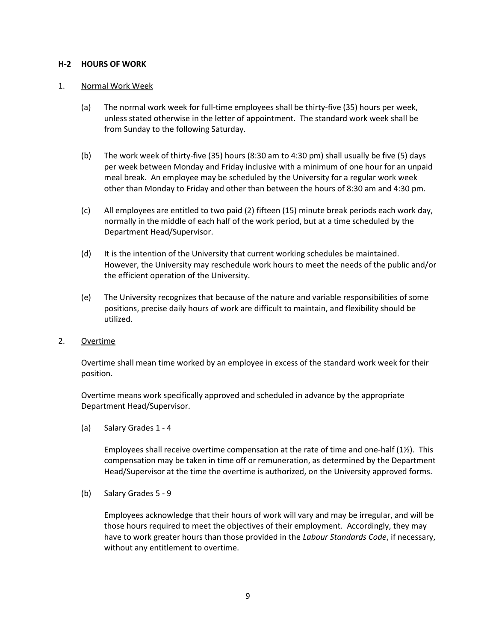#### H-2 HOURS OF WORK

#### 1. Normal Work Week

- (a) The normal work week for full-time employees shall be thirty-five (35) hours per week, unless stated otherwise in the letter of appointment. The standard work week shall be from Sunday to the following Saturday.
- (b) The work week of thirty-five (35) hours (8:30 am to 4:30 pm) shall usually be five (5) days per week between Monday and Friday inclusive with a minimum of one hour for an unpaid meal break. An employee may be scheduled by the University for a regular work week other than Monday to Friday and other than between the hours of 8:30 am and 4:30 pm.
- (c) All employees are entitled to two paid (2) fifteen (15) minute break periods each work day, normally in the middle of each half of the work period, but at a time scheduled by the Department Head/Supervisor.
- (d) It is the intention of the University that current working schedules be maintained. However, the University may reschedule work hours to meet the needs of the public and/or the efficient operation of the University.
- (e) The University recognizes that because of the nature and variable responsibilities of some positions, precise daily hours of work are difficult to maintain, and flexibility should be utilized.

#### 2. Overtime

Overtime shall mean time worked by an employee in excess of the standard work week for their position.

Overtime means work specifically approved and scheduled in advance by the appropriate Department Head/Supervisor.

(a) Salary Grades 1 - 4

Employees shall receive overtime compensation at the rate of time and one-half  $(1/2)$ . This compensation may be taken in time off or remuneration, as determined by the Department Head/Supervisor at the time the overtime is authorized, on the University approved forms.

(b) Salary Grades 5 - 9

 Employees acknowledge that their hours of work will vary and may be irregular, and will be those hours required to meet the objectives of their employment. Accordingly, they may have to work greater hours than those provided in the Labour Standards Code, if necessary, without any entitlement to overtime.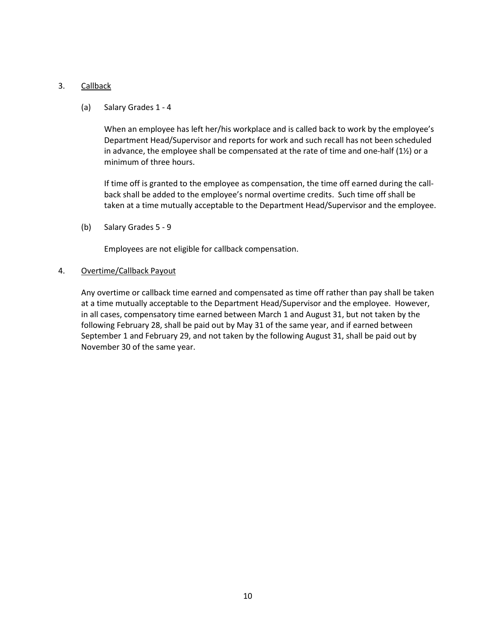#### 3. Callback

(a) Salary Grades 1 - 4

 When an employee has left her/his workplace and is called back to work by the employee's Department Head/Supervisor and reports for work and such recall has not been scheduled in advance, the employee shall be compensated at the rate of time and one-half  $(1\frac{1}{2})$  or a minimum of three hours.

If time off is granted to the employee as compensation, the time off earned during the callback shall be added to the employee's normal overtime credits. Such time off shall be taken at a time mutually acceptable to the Department Head/Supervisor and the employee.

(b) Salary Grades 5 - 9

Employees are not eligible for callback compensation.

#### 4. Overtime/Callback Payout

Any overtime or callback time earned and compensated as time off rather than pay shall be taken at a time mutually acceptable to the Department Head/Supervisor and the employee. However, in all cases, compensatory time earned between March 1 and August 31, but not taken by the following February 28, shall be paid out by May 31 of the same year, and if earned between September 1 and February 29, and not taken by the following August 31, shall be paid out by November 30 of the same year.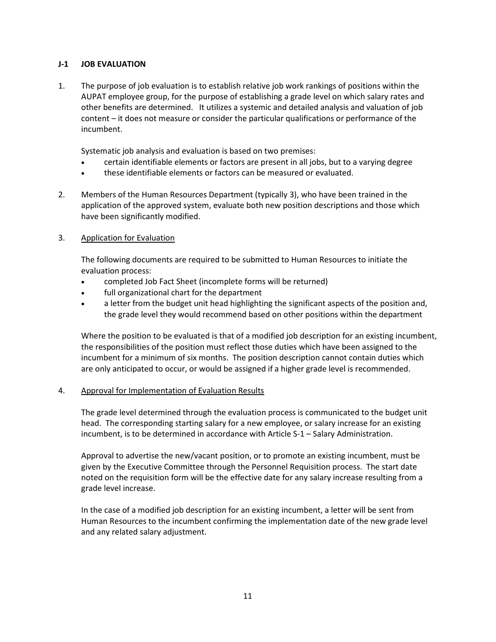#### J-1 JOB EVALUATION

1. The purpose of job evaluation is to establish relative job work rankings of positions within the AUPAT employee group, for the purpose of establishing a grade level on which salary rates and other benefits are determined. It utilizes a systemic and detailed analysis and valuation of job content – it does not measure or consider the particular qualifications or performance of the incumbent.

Systematic job analysis and evaluation is based on two premises:

- certain identifiable elements or factors are present in all jobs, but to a varying degree
- these identifiable elements or factors can be measured or evaluated.
- 2. Members of the Human Resources Department (typically 3), who have been trained in the application of the approved system, evaluate both new position descriptions and those which have been significantly modified.

#### 3. Application for Evaluation

The following documents are required to be submitted to Human Resources to initiate the evaluation process:

- completed Job Fact Sheet (incomplete forms will be returned)
- full organizational chart for the department
- a letter from the budget unit head highlighting the significant aspects of the position and, the grade level they would recommend based on other positions within the department

Where the position to be evaluated is that of a modified job description for an existing incumbent, the responsibilities of the position must reflect those duties which have been assigned to the incumbent for a minimum of six months. The position description cannot contain duties which are only anticipated to occur, or would be assigned if a higher grade level is recommended.

#### 4. Approval for Implementation of Evaluation Results

The grade level determined through the evaluation process is communicated to the budget unit head. The corresponding starting salary for a new employee, or salary increase for an existing incumbent, is to be determined in accordance with Article S-1 – Salary Administration.

Approval to advertise the new/vacant position, or to promote an existing incumbent, must be given by the Executive Committee through the Personnel Requisition process. The start date noted on the requisition form will be the effective date for any salary increase resulting from a grade level increase.

In the case of a modified job description for an existing incumbent, a letter will be sent from Human Resources to the incumbent confirming the implementation date of the new grade level and any related salary adjustment.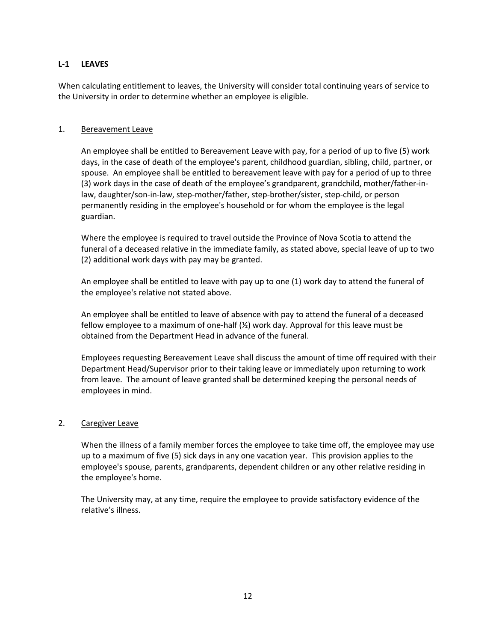#### L-1 LEAVES

When calculating entitlement to leaves, the University will consider total continuing years of service to the University in order to determine whether an employee is eligible.

#### 1. Bereavement Leave

An employee shall be entitled to Bereavement Leave with pay, for a period of up to five (5) work days, in the case of death of the employee's parent, childhood guardian, sibling, child, partner, or spouse. An employee shall be entitled to bereavement leave with pay for a period of up to three (3) work days in the case of death of the employee's grandparent, grandchild, mother/father-inlaw, daughter/son-in-law, step-mother/father, step-brother/sister, step-child, or person permanently residing in the employee's household or for whom the employee is the legal guardian.

Where the employee is required to travel outside the Province of Nova Scotia to attend the funeral of a deceased relative in the immediate family, as stated above, special leave of up to two (2) additional work days with pay may be granted.

An employee shall be entitled to leave with pay up to one (1) work day to attend the funeral of the employee's relative not stated above.

An employee shall be entitled to leave of absence with pay to attend the funeral of a deceased fellow employee to a maximum of one-half  $\mathcal{V}_2$ ) work day. Approval for this leave must be obtained from the Department Head in advance of the funeral.

Employees requesting Bereavement Leave shall discuss the amount of time off required with their Department Head/Supervisor prior to their taking leave or immediately upon returning to work from leave. The amount of leave granted shall be determined keeping the personal needs of employees in mind.

#### 2. Caregiver Leave

When the illness of a family member forces the employee to take time off, the employee may use up to a maximum of five (5) sick days in any one vacation year. This provision applies to the employee's spouse, parents, grandparents, dependent children or any other relative residing in the employee's home.

The University may, at any time, require the employee to provide satisfactory evidence of the relative's illness.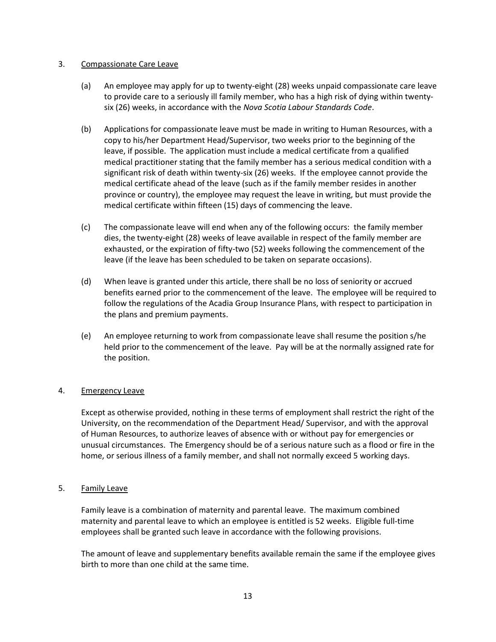#### 3. Compassionate Care Leave

- (a) An employee may apply for up to twenty-eight (28) weeks unpaid compassionate care leave to provide care to a seriously ill family member, who has a high risk of dying within twentysix (26) weeks, in accordance with the Nova Scotia Labour Standards Code.
- (b) Applications for compassionate leave must be made in writing to Human Resources, with a copy to his/her Department Head/Supervisor, two weeks prior to the beginning of the leave, if possible. The application must include a medical certificate from a qualified medical practitioner stating that the family member has a serious medical condition with a significant risk of death within twenty-six (26) weeks. If the employee cannot provide the medical certificate ahead of the leave (such as if the family member resides in another province or country), the employee may request the leave in writing, but must provide the medical certificate within fifteen (15) days of commencing the leave.
- (c) The compassionate leave will end when any of the following occurs: the family member dies, the twenty-eight (28) weeks of leave available in respect of the family member are exhausted, or the expiration of fifty-two (52) weeks following the commencement of the leave (if the leave has been scheduled to be taken on separate occasions).
- (d) When leave is granted under this article, there shall be no loss of seniority or accrued benefits earned prior to the commencement of the leave. The employee will be required to follow the regulations of the Acadia Group Insurance Plans, with respect to participation in the plans and premium payments.
- (e) An employee returning to work from compassionate leave shall resume the position s/he held prior to the commencement of the leave. Pay will be at the normally assigned rate for the position.

#### 4. Emergency Leave

Except as otherwise provided, nothing in these terms of employment shall restrict the right of the University, on the recommendation of the Department Head/ Supervisor, and with the approval of Human Resources, to authorize leaves of absence with or without pay for emergencies or unusual circumstances. The Emergency should be of a serious nature such as a flood or fire in the home, or serious illness of a family member, and shall not normally exceed 5 working days.

#### 5. Family Leave

Family leave is a combination of maternity and parental leave. The maximum combined maternity and parental leave to which an employee is entitled is 52 weeks. Eligible full-time employees shall be granted such leave in accordance with the following provisions.

The amount of leave and supplementary benefits available remain the same if the employee gives birth to more than one child at the same time.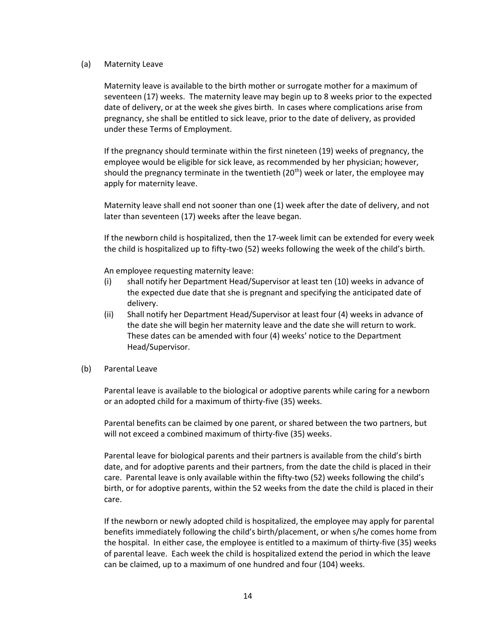#### (a) Maternity Leave

Maternity leave is available to the birth mother or surrogate mother for a maximum of seventeen (17) weeks. The maternity leave may begin up to 8 weeks prior to the expected date of delivery, or at the week she gives birth. In cases where complications arise from pregnancy, she shall be entitled to sick leave, prior to the date of delivery, as provided under these Terms of Employment.

If the pregnancy should terminate within the first nineteen (19) weeks of pregnancy, the employee would be eligible for sick leave, as recommended by her physician; however, should the pregnancy terminate in the twentieth  $(20<sup>th</sup>)$  week or later, the employee may apply for maternity leave.

Maternity leave shall end not sooner than one (1) week after the date of delivery, and not later than seventeen (17) weeks after the leave began.

If the newborn child is hospitalized, then the 17-week limit can be extended for every week the child is hospitalized up to fifty-two (52) weeks following the week of the child's birth.

An employee requesting maternity leave:

- (i) shall notify her Department Head/Supervisor at least ten (10) weeks in advance of the expected due date that she is pregnant and specifying the anticipated date of delivery.
- (ii) Shall notify her Department Head/Supervisor at least four (4) weeks in advance of the date she will begin her maternity leave and the date she will return to work. These dates can be amended with four (4) weeks' notice to the Department Head/Supervisor.
- (b) Parental Leave

Parental leave is available to the biological or adoptive parents while caring for a newborn or an adopted child for a maximum of thirty-five (35) weeks.

Parental benefits can be claimed by one parent, or shared between the two partners, but will not exceed a combined maximum of thirty-five (35) weeks.

Parental leave for biological parents and their partners is available from the child's birth date, and for adoptive parents and their partners, from the date the child is placed in their care. Parental leave is only available within the fifty-two (52) weeks following the child's birth, or for adoptive parents, within the 52 weeks from the date the child is placed in their care.

If the newborn or newly adopted child is hospitalized, the employee may apply for parental benefits immediately following the child's birth/placement, or when s/he comes home from the hospital. In either case, the employee is entitled to a maximum of thirty-five (35) weeks of parental leave. Each week the child is hospitalized extend the period in which the leave can be claimed, up to a maximum of one hundred and four (104) weeks.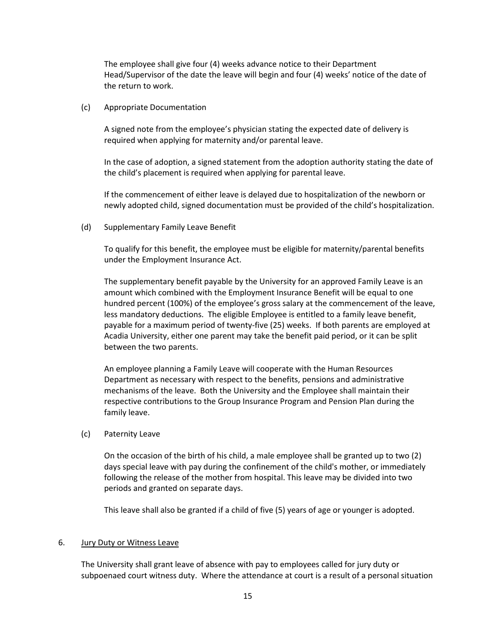The employee shall give four (4) weeks advance notice to their Department Head/Supervisor of the date the leave will begin and four (4) weeks' notice of the date of the return to work.

(c) Appropriate Documentation

A signed note from the employee's physician stating the expected date of delivery is required when applying for maternity and/or parental leave.

In the case of adoption, a signed statement from the adoption authority stating the date of the child's placement is required when applying for parental leave.

If the commencement of either leave is delayed due to hospitalization of the newborn or newly adopted child, signed documentation must be provided of the child's hospitalization.

(d) Supplementary Family Leave Benefit

To qualify for this benefit, the employee must be eligible for maternity/parental benefits under the Employment Insurance Act.

The supplementary benefit payable by the University for an approved Family Leave is an amount which combined with the Employment Insurance Benefit will be equal to one hundred percent (100%) of the employee's gross salary at the commencement of the leave, less mandatory deductions. The eligible Employee is entitled to a family leave benefit, payable for a maximum period of twenty-five (25) weeks. If both parents are employed at Acadia University, either one parent may take the benefit paid period, or it can be split between the two parents.

An employee planning a Family Leave will cooperate with the Human Resources Department as necessary with respect to the benefits, pensions and administrative mechanisms of the leave. Both the University and the Employee shall maintain their respective contributions to the Group Insurance Program and Pension Plan during the family leave.

(c) Paternity Leave

On the occasion of the birth of his child, a male employee shall be granted up to two (2) days special leave with pay during the confinement of the child's mother, or immediately following the release of the mother from hospital. This leave may be divided into two periods and granted on separate days.

This leave shall also be granted if a child of five (5) years of age or younger is adopted.

#### 6. Jury Duty or Witness Leave

The University shall grant leave of absence with pay to employees called for jury duty or subpoenaed court witness duty. Where the attendance at court is a result of a personal situation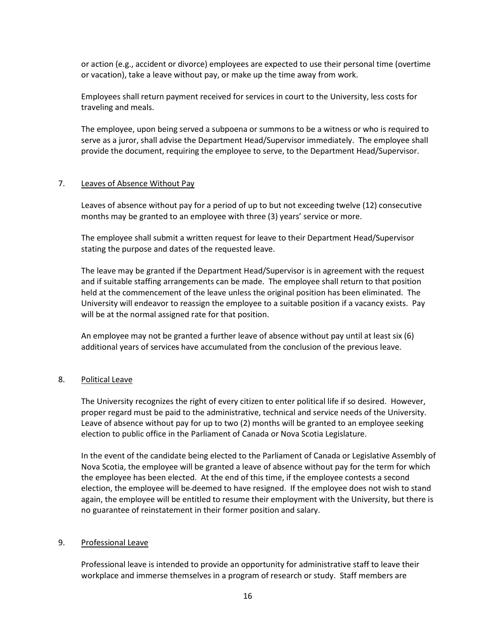or action (e.g., accident or divorce) employees are expected to use their personal time (overtime or vacation), take a leave without pay, or make up the time away from work.

Employees shall return payment received for services in court to the University, less costs for traveling and meals.

The employee, upon being served a subpoena or summons to be a witness or who is required to serve as a juror, shall advise the Department Head/Supervisor immediately. The employee shall provide the document, requiring the employee to serve, to the Department Head/Supervisor.

#### 7. Leaves of Absence Without Pay

Leaves of absence without pay for a period of up to but not exceeding twelve (12) consecutive months may be granted to an employee with three (3) years' service or more.

The employee shall submit a written request for leave to their Department Head/Supervisor stating the purpose and dates of the requested leave.

The leave may be granted if the Department Head/Supervisor is in agreement with the request and if suitable staffing arrangements can be made. The employee shall return to that position held at the commencement of the leave unless the original position has been eliminated. The University will endeavor to reassign the employee to a suitable position if a vacancy exists. Pay will be at the normal assigned rate for that position.

An employee may not be granted a further leave of absence without pay until at least six (6) additional years of services have accumulated from the conclusion of the previous leave.

#### 8. Political Leave

The University recognizes the right of every citizen to enter political life if so desired. However, proper regard must be paid to the administrative, technical and service needs of the University. Leave of absence without pay for up to two (2) months will be granted to an employee seeking election to public office in the Parliament of Canada or Nova Scotia Legislature.

In the event of the candidate being elected to the Parliament of Canada or Legislative Assembly of Nova Scotia, the employee will be granted a leave of absence without pay for the term for which the employee has been elected. At the end of this time, if the employee contests a second election, the employee will be deemed to have resigned. If the employee does not wish to stand again, the employee will be entitled to resume their employment with the University, but there is no guarantee of reinstatement in their former position and salary.

#### 9. Professional Leave

Professional leave is intended to provide an opportunity for administrative staff to leave their workplace and immerse themselves in a program of research or study. Staff members are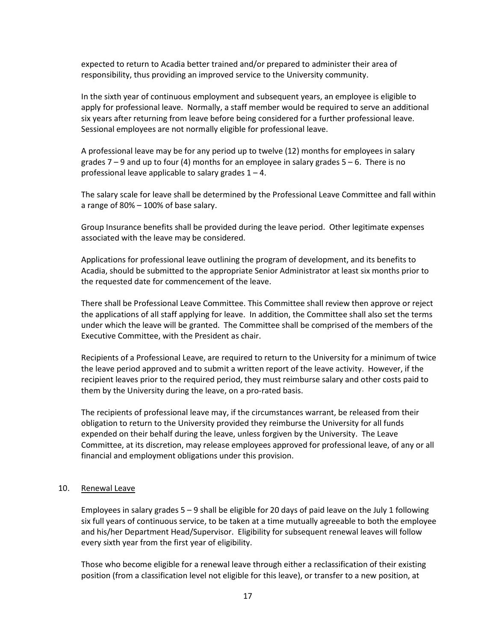expected to return to Acadia better trained and/or prepared to administer their area of responsibility, thus providing an improved service to the University community.

In the sixth year of continuous employment and subsequent years, an employee is eligible to apply for professional leave. Normally, a staff member would be required to serve an additional six years after returning from leave before being considered for a further professional leave. Sessional employees are not normally eligible for professional leave.

A professional leave may be for any period up to twelve (12) months for employees in salary grades  $7 - 9$  and up to four (4) months for an employee in salary grades  $5 - 6$ . There is no professional leave applicable to salary grades 1 – 4.

The salary scale for leave shall be determined by the Professional Leave Committee and fall within a range of 80% – 100% of base salary.

Group Insurance benefits shall be provided during the leave period. Other legitimate expenses associated with the leave may be considered.

Applications for professional leave outlining the program of development, and its benefits to Acadia, should be submitted to the appropriate Senior Administrator at least six months prior to the requested date for commencement of the leave.

There shall be Professional Leave Committee. This Committee shall review then approve or reject the applications of all staff applying for leave. In addition, the Committee shall also set the terms under which the leave will be granted. The Committee shall be comprised of the members of the Executive Committee, with the President as chair.

Recipients of a Professional Leave, are required to return to the University for a minimum of twice the leave period approved and to submit a written report of the leave activity. However, if the recipient leaves prior to the required period, they must reimburse salary and other costs paid to them by the University during the leave, on a pro-rated basis.

The recipients of professional leave may, if the circumstances warrant, be released from their obligation to return to the University provided they reimburse the University for all funds expended on their behalf during the leave, unless forgiven by the University. The Leave Committee, at its discretion, may release employees approved for professional leave, of any or all financial and employment obligations under this provision.

#### 10. Renewal Leave

Employees in salary grades 5 – 9 shall be eligible for 20 days of paid leave on the July 1 following six full years of continuous service, to be taken at a time mutually agreeable to both the employee and his/her Department Head/Supervisor. Eligibility for subsequent renewal leaves will follow every sixth year from the first year of eligibility.

Those who become eligible for a renewal leave through either a reclassification of their existing position (from a classification level not eligible for this leave), or transfer to a new position, at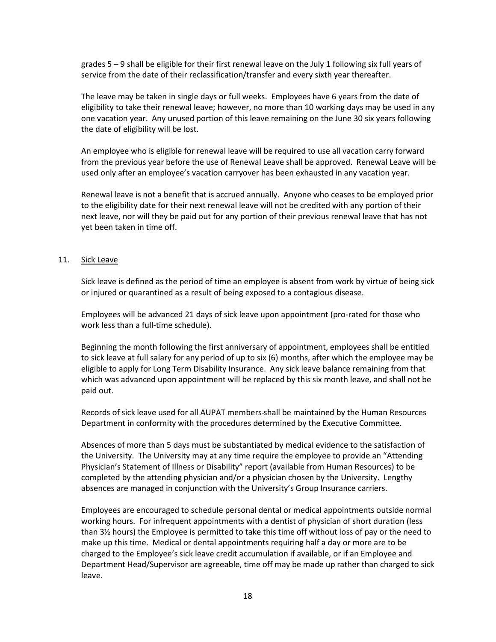grades 5 – 9 shall be eligible for their first renewal leave on the July 1 following six full years of service from the date of their reclassification/transfer and every sixth year thereafter.

The leave may be taken in single days or full weeks. Employees have 6 years from the date of eligibility to take their renewal leave; however, no more than 10 working days may be used in any one vacation year. Any unused portion of this leave remaining on the June 30 six years following the date of eligibility will be lost.

An employee who is eligible for renewal leave will be required to use all vacation carry forward from the previous year before the use of Renewal Leave shall be approved. Renewal Leave will be used only after an employee's vacation carryover has been exhausted in any vacation year.

Renewal leave is not a benefit that is accrued annually. Anyone who ceases to be employed prior to the eligibility date for their next renewal leave will not be credited with any portion of their next leave, nor will they be paid out for any portion of their previous renewal leave that has not yet been taken in time off.

#### 11. Sick Leave

Sick leave is defined as the period of time an employee is absent from work by virtue of being sick or injured or quarantined as a result of being exposed to a contagious disease.

Employees will be advanced 21 days of sick leave upon appointment (pro-rated for those who work less than a full-time schedule).

Beginning the month following the first anniversary of appointment, employees shall be entitled to sick leave at full salary for any period of up to six (6) months, after which the employee may be eligible to apply for Long Term Disability Insurance. Any sick leave balance remaining from that which was advanced upon appointment will be replaced by this six month leave, and shall not be paid out.

Records of sick leave used for all AUPAT members shall be maintained by the Human Resources Department in conformity with the procedures determined by the Executive Committee.

Absences of more than 5 days must be substantiated by medical evidence to the satisfaction of the University. The University may at any time require the employee to provide an "Attending Physician's Statement of Illness or Disability" report (available from Human Resources) to be completed by the attending physician and/or a physician chosen by the University. Lengthy absences are managed in conjunction with the University's Group Insurance carriers.

Employees are encouraged to schedule personal dental or medical appointments outside normal working hours. For infrequent appointments with a dentist of physician of short duration (less than 3½ hours) the Employee is permitted to take this time off without loss of pay or the need to make up this time. Medical or dental appointments requiring half a day or more are to be charged to the Employee's sick leave credit accumulation if available, or if an Employee and Department Head/Supervisor are agreeable, time off may be made up rather than charged to sick leave.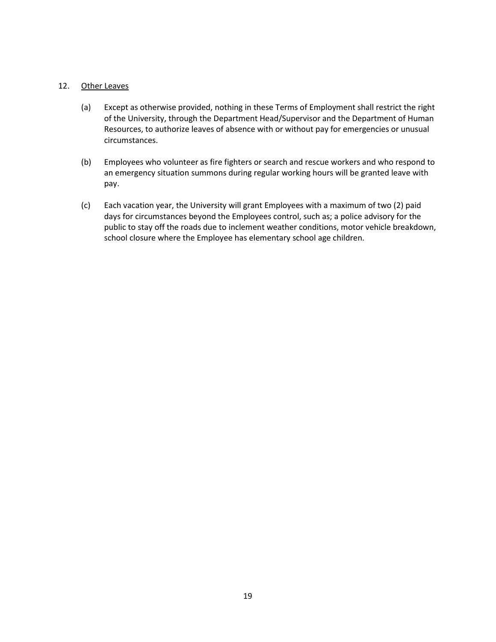#### 12. Other Leaves

- (a) Except as otherwise provided, nothing in these Terms of Employment shall restrict the right of the University, through the Department Head/Supervisor and the Department of Human Resources, to authorize leaves of absence with or without pay for emergencies or unusual circumstances.
- (b) Employees who volunteer as fire fighters or search and rescue workers and who respond to an emergency situation summons during regular working hours will be granted leave with pay.
- (c) Each vacation year, the University will grant Employees with a maximum of two (2) paid days for circumstances beyond the Employees control, such as; a police advisory for the public to stay off the roads due to inclement weather conditions, motor vehicle breakdown, school closure where the Employee has elementary school age children.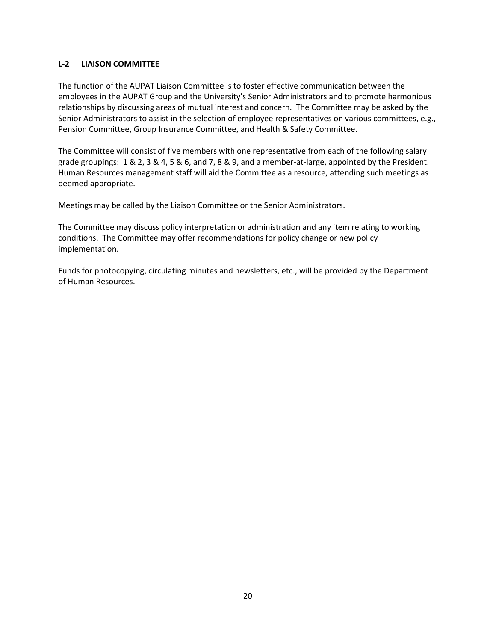#### L-2 LIAISON COMMITTEE

The function of the AUPAT Liaison Committee is to foster effective communication between the employees in the AUPAT Group and the University's Senior Administrators and to promote harmonious relationships by discussing areas of mutual interest and concern. The Committee may be asked by the Senior Administrators to assist in the selection of employee representatives on various committees, e.g., Pension Committee, Group Insurance Committee, and Health & Safety Committee.

The Committee will consist of five members with one representative from each of the following salary grade groupings: 1 & 2, 3 & 4, 5 & 6, and 7, 8 & 9, and a member-at-large, appointed by the President. Human Resources management staff will aid the Committee as a resource, attending such meetings as deemed appropriate.

Meetings may be called by the Liaison Committee or the Senior Administrators.

The Committee may discuss policy interpretation or administration and any item relating to working conditions. The Committee may offer recommendations for policy change or new policy implementation.

Funds for photocopying, circulating minutes and newsletters, etc., will be provided by the Department of Human Resources.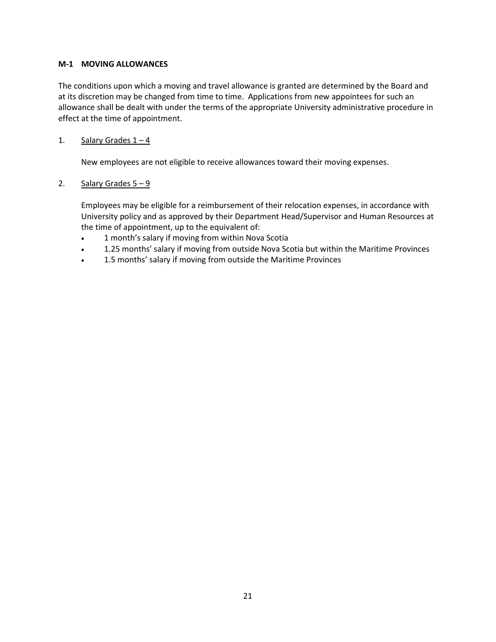#### M-1 MOVING ALLOWANCES

The conditions upon which a moving and travel allowance is granted are determined by the Board and at its discretion may be changed from time to time. Applications from new appointees for such an allowance shall be dealt with under the terms of the appropriate University administrative procedure in effect at the time of appointment.

#### 1. Salary Grades  $1 - 4$

New employees are not eligible to receive allowances toward their moving expenses.

#### 2. Salary Grades  $5 - 9$

 Employees may be eligible for a reimbursement of their relocation expenses, in accordance with University policy and as approved by their Department Head/Supervisor and Human Resources at the time of appointment, up to the equivalent of:

- 1 month's salary if moving from within Nova Scotia
- 1.25 months' salary if moving from outside Nova Scotia but within the Maritime Provinces
- 1.5 months' salary if moving from outside the Maritime Provinces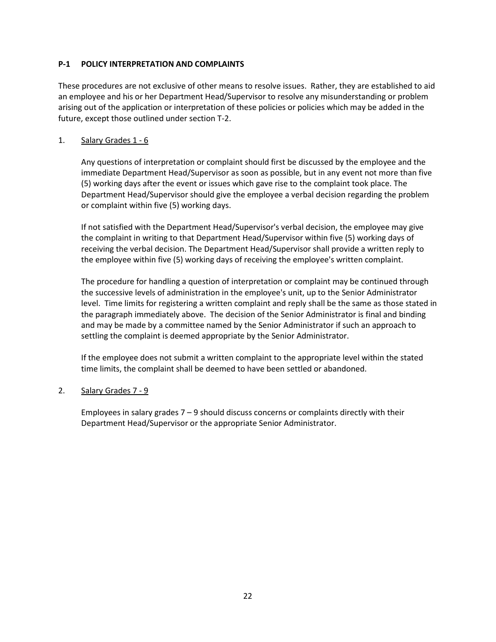#### P-1 POLICY INTERPRETATION AND COMPLAINTS

These procedures are not exclusive of other means to resolve issues. Rather, they are established to aid an employee and his or her Department Head/Supervisor to resolve any misunderstanding or problem arising out of the application or interpretation of these policies or policies which may be added in the future, except those outlined under section T-2.

#### 1. Salary Grades 1 - 6

Any questions of interpretation or complaint should first be discussed by the employee and the immediate Department Head/Supervisor as soon as possible, but in any event not more than five (5) working days after the event or issues which gave rise to the complaint took place. The Department Head/Supervisor should give the employee a verbal decision regarding the problem or complaint within five (5) working days.

If not satisfied with the Department Head/Supervisor's verbal decision, the employee may give the complaint in writing to that Department Head/Supervisor within five (5) working days of receiving the verbal decision. The Department Head/Supervisor shall provide a written reply to the employee within five (5) working days of receiving the employee's written complaint.

The procedure for handling a question of interpretation or complaint may be continued through the successive levels of administration in the employee's unit, up to the Senior Administrator level. Time limits for registering a written complaint and reply shall be the same as those stated in the paragraph immediately above. The decision of the Senior Administrator is final and binding and may be made by a committee named by the Senior Administrator if such an approach to settling the complaint is deemed appropriate by the Senior Administrator.

If the employee does not submit a written complaint to the appropriate level within the stated time limits, the complaint shall be deemed to have been settled or abandoned.

#### 2. Salary Grades 7 - 9

Employees in salary grades  $7 - 9$  should discuss concerns or complaints directly with their Department Head/Supervisor or the appropriate Senior Administrator.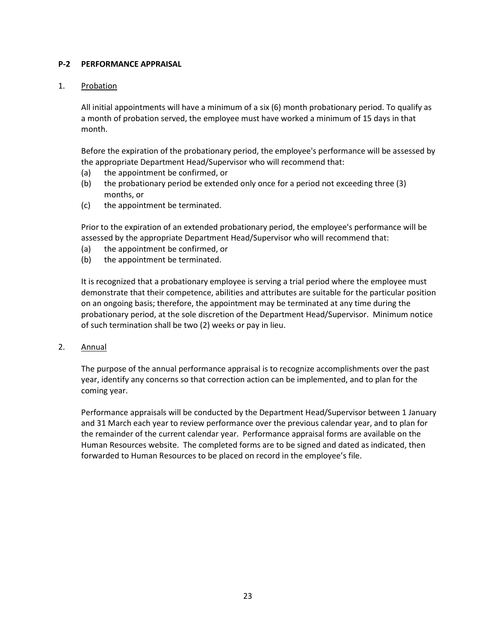#### P-2 PERFORMANCE APPRAISAL

#### 1. Probation

All initial appointments will have a minimum of a six (6) month probationary period. To qualify as a month of probation served, the employee must have worked a minimum of 15 days in that month.

Before the expiration of the probationary period, the employee's performance will be assessed by the appropriate Department Head/Supervisor who will recommend that:

- (a) the appointment be confirmed, or
- (b) the probationary period be extended only once for a period not exceeding three (3) months, or
- (c) the appointment be terminated.

Prior to the expiration of an extended probationary period, the employee's performance will be assessed by the appropriate Department Head/Supervisor who will recommend that:

- (a) the appointment be confirmed, or
- (b) the appointment be terminated.

It is recognized that a probationary employee is serving a trial period where the employee must demonstrate that their competence, abilities and attributes are suitable for the particular position on an ongoing basis; therefore, the appointment may be terminated at any time during the probationary period, at the sole discretion of the Department Head/Supervisor. Minimum notice of such termination shall be two (2) weeks or pay in lieu.

2. Annual

The purpose of the annual performance appraisal is to recognize accomplishments over the past year, identify any concerns so that correction action can be implemented, and to plan for the coming year.

Performance appraisals will be conducted by the Department Head/Supervisor between 1 January and 31 March each year to review performance over the previous calendar year, and to plan for the remainder of the current calendar year. Performance appraisal forms are available on the Human Resources website. The completed forms are to be signed and dated as indicated, then forwarded to Human Resources to be placed on record in the employee's file.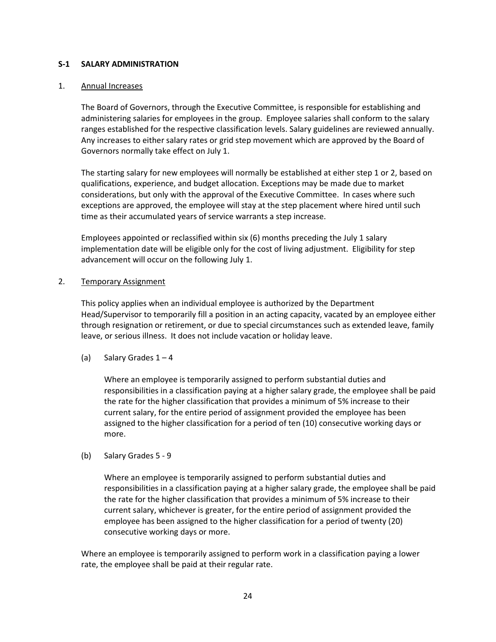#### S-1 SALARY ADMINISTRATION

#### 1. Annual Increases

The Board of Governors, through the Executive Committee, is responsible for establishing and administering salaries for employees in the group. Employee salaries shall conform to the salary ranges established for the respective classification levels. Salary guidelines are reviewed annually. Any increases to either salary rates or grid step movement which are approved by the Board of Governors normally take effect on July 1.

The starting salary for new employees will normally be established at either step 1 or 2, based on qualifications, experience, and budget allocation. Exceptions may be made due to market considerations, but only with the approval of the Executive Committee. In cases where such exceptions are approved, the employee will stay at the step placement where hired until such time as their accumulated years of service warrants a step increase.

Employees appointed or reclassified within six (6) months preceding the July 1 salary implementation date will be eligible only for the cost of living adjustment. Eligibility for step advancement will occur on the following July 1.

#### 2. Temporary Assignment

This policy applies when an individual employee is authorized by the Department Head/Supervisor to temporarily fill a position in an acting capacity, vacated by an employee either through resignation or retirement, or due to special circumstances such as extended leave, family leave, or serious illness. It does not include vacation or holiday leave.

(a) Salary Grades  $1 - 4$ 

Where an employee is temporarily assigned to perform substantial duties and responsibilities in a classification paying at a higher salary grade, the employee shall be paid the rate for the higher classification that provides a minimum of 5% increase to their current salary, for the entire period of assignment provided the employee has been assigned to the higher classification for a period of ten (10) consecutive working days or more.

(b) Salary Grades 5 - 9

Where an employee is temporarily assigned to perform substantial duties and responsibilities in a classification paying at a higher salary grade, the employee shall be paid the rate for the higher classification that provides a minimum of 5% increase to their current salary, whichever is greater, for the entire period of assignment provided the employee has been assigned to the higher classification for a period of twenty (20) consecutive working days or more.

Where an employee is temporarily assigned to perform work in a classification paying a lower rate, the employee shall be paid at their regular rate.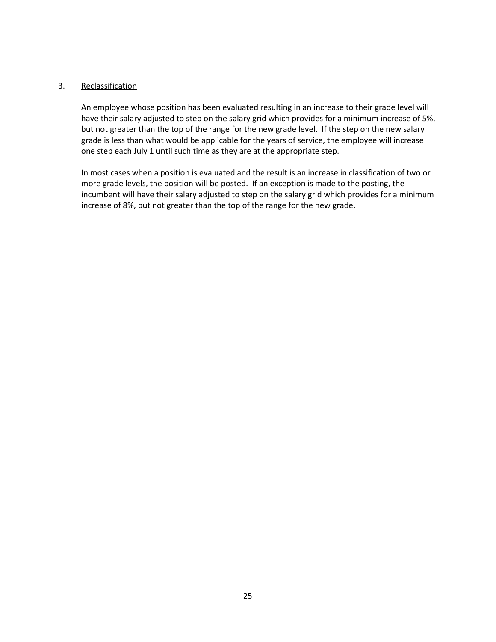#### 3. Reclassification

An employee whose position has been evaluated resulting in an increase to their grade level will have their salary adjusted to step on the salary grid which provides for a minimum increase of 5%, but not greater than the top of the range for the new grade level. If the step on the new salary grade is less than what would be applicable for the years of service, the employee will increase one step each July 1 until such time as they are at the appropriate step.

In most cases when a position is evaluated and the result is an increase in classification of two or more grade levels, the position will be posted. If an exception is made to the posting, the incumbent will have their salary adjusted to step on the salary grid which provides for a minimum increase of 8%, but not greater than the top of the range for the new grade.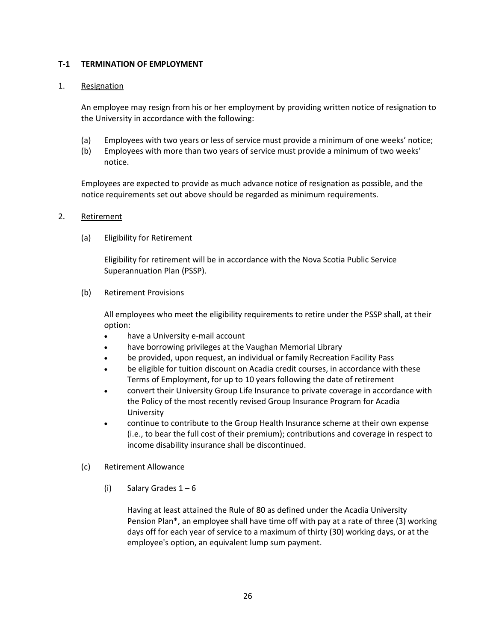#### T-1 TERMINATION OF EMPLOYMENT

#### 1. Resignation

An employee may resign from his or her employment by providing written notice of resignation to the University in accordance with the following:

- (a) Employees with two years or less of service must provide a minimum of one weeks' notice;
- (b) Employees with more than two years of service must provide a minimum of two weeks' notice.

Employees are expected to provide as much advance notice of resignation as possible, and the notice requirements set out above should be regarded as minimum requirements.

#### 2. Retirement

(a) Eligibility for Retirement

Eligibility for retirement will be in accordance with the Nova Scotia Public Service Superannuation Plan (PSSP).

(b) Retirement Provisions

All employees who meet the eligibility requirements to retire under the PSSP shall, at their option:

- have a University e-mail account
- have borrowing privileges at the Vaughan Memorial Library
- be provided, upon request, an individual or family Recreation Facility Pass
- be eligible for tuition discount on Acadia credit courses, in accordance with these Terms of Employment, for up to 10 years following the date of retirement
- convert their University Group Life Insurance to private coverage in accordance with the Policy of the most recently revised Group Insurance Program for Acadia University
- continue to contribute to the Group Health Insurance scheme at their own expense (i.e., to bear the full cost of their premium); contributions and coverage in respect to income disability insurance shall be discontinued.
- (c) Retirement Allowance
	- (i) Salary Grades  $1-6$

 Having at least attained the Rule of 80 as defined under the Acadia University Pension Plan\*, an employee shall have time off with pay at a rate of three (3) working days off for each year of service to a maximum of thirty (30) working days, or at the employee's option, an equivalent lump sum payment.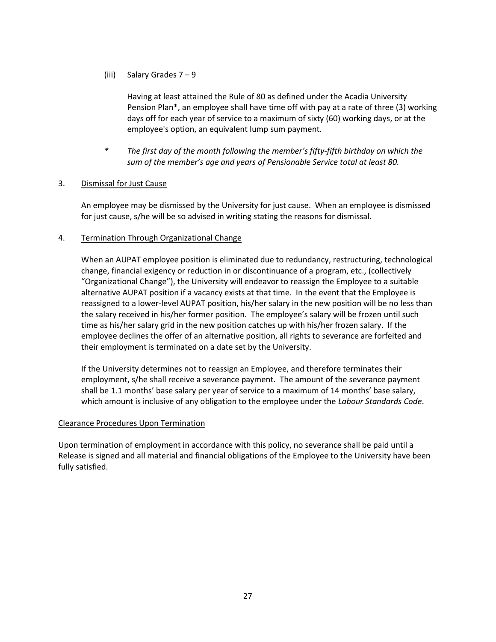(iii) Salary Grades 7 – 9

 Having at least attained the Rule of 80 as defined under the Acadia University Pension Plan\*, an employee shall have time off with pay at a rate of three (3) working days off for each year of service to a maximum of sixty (60) working days, or at the employee's option, an equivalent lump sum payment.

The first day of the month following the member's fifty-fifth birthday on which the sum of the member's age and years of Pensionable Service total at least 80.

#### 3. Dismissal for Just Cause

An employee may be dismissed by the University for just cause. When an employee is dismissed for just cause, s/he will be so advised in writing stating the reasons for dismissal.

#### 4. Termination Through Organizational Change

When an AUPAT employee position is eliminated due to redundancy, restructuring, technological change, financial exigency or reduction in or discontinuance of a program, etc., (collectively "Organizational Change"), the University will endeavor to reassign the Employee to a suitable alternative AUPAT position if a vacancy exists at that time. In the event that the Employee is reassigned to a lower-level AUPAT position, his/her salary in the new position will be no less than the salary received in his/her former position. The employee's salary will be frozen until such time as his/her salary grid in the new position catches up with his/her frozen salary. If the employee declines the offer of an alternative position, all rights to severance are forfeited and their employment is terminated on a date set by the University.

If the University determines not to reassign an Employee, and therefore terminates their employment, s/he shall receive a severance payment. The amount of the severance payment shall be 1.1 months' base salary per year of service to a maximum of 14 months' base salary, which amount is inclusive of any obligation to the employee under the Labour Standards Code.

#### Clearance Procedures Upon Termination

Upon termination of employment in accordance with this policy, no severance shall be paid until a Release is signed and all material and financial obligations of the Employee to the University have been fully satisfied.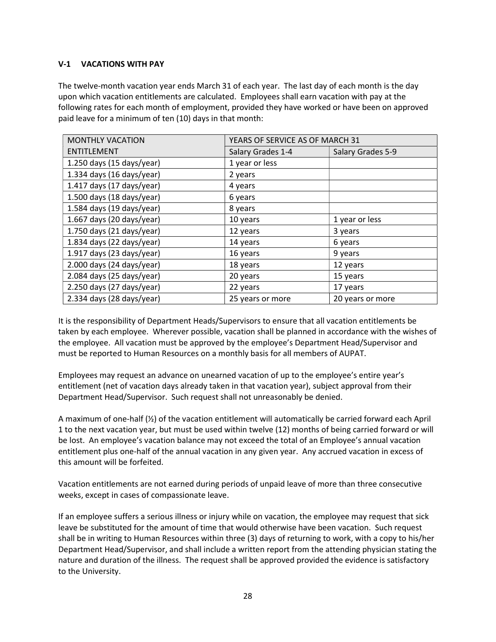#### V-1 VACATIONS WITH PAY

The twelve-month vacation year ends March 31 of each year. The last day of each month is the day upon which vacation entitlements are calculated. Employees shall earn vacation with pay at the following rates for each month of employment, provided they have worked or have been on approved paid leave for a minimum of ten (10) days in that month:

| <b>MONTHLY VACATION</b>                    | YEARS OF SERVICE AS OF MARCH 31 |                   |  |
|--------------------------------------------|---------------------------------|-------------------|--|
| <b>ENTITLEMENT</b>                         | Salary Grades 1-4               | Salary Grades 5-9 |  |
| $1.250$ days (15 days/year)                | 1 year or less                  |                   |  |
| 1.334 days $(16 \text{ days}/\text{year})$ | 2 years                         |                   |  |
| 1.417 days $(17 \text{ days}/\text{year})$ | 4 years                         |                   |  |
| 1.500 days (18 days/year)                  | 6 years                         |                   |  |
| 1.584 days (19 days/year)                  | 8 years                         |                   |  |
| 1.667 days (20 days/year)                  | 10 years                        | 1 year or less    |  |
| $1.750$ days (21 days/year)                | 12 years                        | 3 years           |  |
| $1.834$ days (22 days/year)                | 14 years                        | 6 years           |  |
| 1.917 days (23 days/year)                  | 16 years                        | 9 years           |  |
| 2.000 days (24 days/year)                  | 18 years                        | 12 years          |  |
| 2.084 days (25 days/year)                  | 20 years                        | 15 years          |  |
| $2.250$ days (27 days/year)                | 22 years                        | 17 years          |  |
| $2.334$ days (28 days/year)                | 25 years or more                | 20 years or more  |  |

It is the responsibility of Department Heads/Supervisors to ensure that all vacation entitlements be taken by each employee. Wherever possible, vacation shall be planned in accordance with the wishes of the employee. All vacation must be approved by the employee's Department Head/Supervisor and must be reported to Human Resources on a monthly basis for all members of AUPAT.

Employees may request an advance on unearned vacation of up to the employee's entire year's entitlement (net of vacation days already taken in that vacation year), subject approval from their Department Head/Supervisor. Such request shall not unreasonably be denied.

A maximum of one-half (½) of the vacation entitlement will automatically be carried forward each April 1 to the next vacation year, but must be used within twelve (12) months of being carried forward or will be lost. An employee's vacation balance may not exceed the total of an Employee's annual vacation entitlement plus one-half of the annual vacation in any given year. Any accrued vacation in excess of this amount will be forfeited.

Vacation entitlements are not earned during periods of unpaid leave of more than three consecutive weeks, except in cases of compassionate leave.

If an employee suffers a serious illness or injury while on vacation, the employee may request that sick leave be substituted for the amount of time that would otherwise have been vacation. Such request shall be in writing to Human Resources within three (3) days of returning to work, with a copy to his/her Department Head/Supervisor, and shall include a written report from the attending physician stating the nature and duration of the illness. The request shall be approved provided the evidence is satisfactory to the University.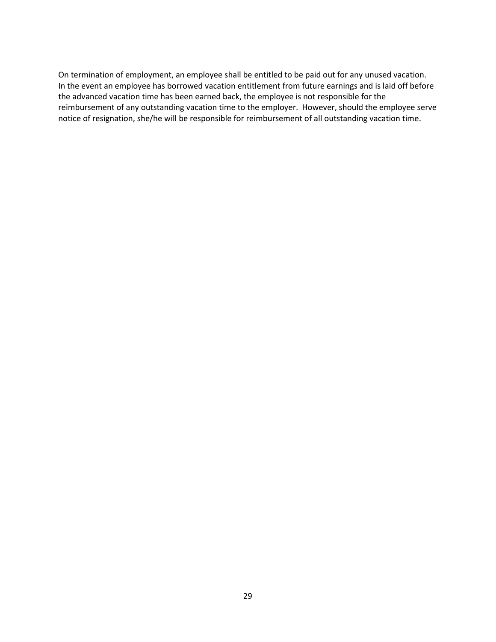On termination of employment, an employee shall be entitled to be paid out for any unused vacation. In the event an employee has borrowed vacation entitlement from future earnings and is laid off before the advanced vacation time has been earned back, the employee is not responsible for the reimbursement of any outstanding vacation time to the employer. However, should the employee serve notice of resignation, she/he will be responsible for reimbursement of all outstanding vacation time.